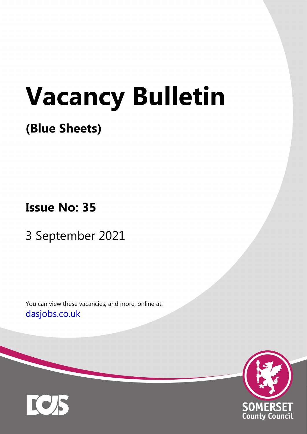# Vacancy Bulletin

# (Blue Sheets)

Issue No: 35

3 September 2021

You can view these vacancies, and more, online at: dasjobs.co.uk



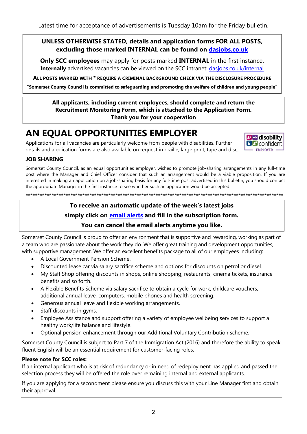# UNLESS OTHERWISE STATED, details and application forms FOR ALL POSTS, excluding those marked INTERNAL can be found on dasjobs.co.uk

Only SCC employees may apply for posts marked INTERNAL in the first instance. Internally advertised vacancies can be viewed on the SCC intranet: dasjobs.co.uk/internal

ALL POSTS MARKED WITH \* REQUIRE A CRIMINAL BACKGROUND CHECK VIA THE DISCLOSURE PROCEDURE

"Somerset County Council is committed to safeguarding and promoting the welfare of children and young people"

#### All applicants, including current employees, should complete and return the Recruitment Monitoring Form, which is attached to the Application Form. Thank you for your cooperation

# AN EQUAL OPPORTUNITIES EMPLOYER

Applications for all vacancies are particularly welcome from people with disabilities. Further details and application forms are also available on request in braille, large print, tape and disc.



# JOB SHARING

Somerset County Council, as an equal opportunities employer, wishes to promote job-sharing arrangements in any full-time post where the Manager and Chief Officer consider that such an arrangement would be a viable proposition. If you are interested in making an application on a job-sharing basis for any full-time post advertised in this bulletin, you should contact the appropriate Manager in the first instance to see whether such an application would be accepted.

\*\*\*\*\*\*\*\*\*\*\*\*\*\*\*\*\*\*\*\*\*\*\*\*\*\*\*\*\*\*\*\*\*\*\*\*\*\*\*\*\*\*\*\*\*\*\*\*\*\*\*\*\*\*\*\*\*\*\*\*\*\*\*\*\*\*\*\*\*\*\*\*\*\*\*\*\*\*\*\*\*\*\*\*\*\*\*\*\*\*\*\*\*\*\*\*\*\*\*\*\*\*\*\*\*\*\*\*\*

# To receive an automatic update of the week's latest jobs

# simply click on **email alerts** and fill in the subscription form.

# You can cancel the email alerts anytime you like.

Somerset County Council is proud to offer an environment that is supportive and rewarding, working as part of a team who are passionate about the work they do. We offer great training and development opportunities, with supportive management. We offer an excellent benefits package to all of our employees including:

- A Local Government Pension Scheme.
- Discounted lease car via salary sacrifice scheme and options for discounts on petrol or diesel.
- My Staff Shop offering discounts in shops, online shopping, restaurants, cinema tickets, insurance benefits and so forth.
- A Flexible Benefits Scheme via salary sacrifice to obtain a cycle for work, childcare vouchers, additional annual leave, computers, mobile phones and health screening.
- Generous annual leave and flexible working arrangements.
- Staff discounts in gyms.
- Employee Assistance and support offering a variety of employee wellbeing services to support a healthy work/life balance and lifestyle.
- Optional pension enhancement through our Additional Voluntary Contribution scheme.

Somerset County Council is subject to Part 7 of the Immigration Act (2016) and therefore the ability to speak fluent English will be an essential requirement for customer-facing roles.

#### Please note for SCC roles:

If an internal applicant who is at risk of redundancy or in need of redeployment has applied and passed the selection process they will be offered the role over remaining internal and external applicants.

If you are applying for a secondment please ensure you discuss this with your Line Manager first and obtain their approval.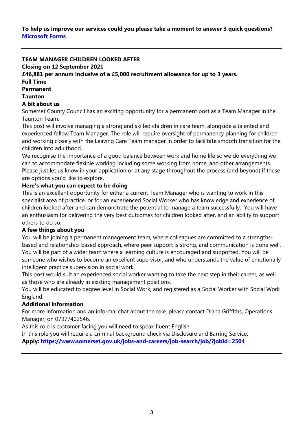To help us improve our services could you please take a moment to answer 3 quick questions? Microsoft Forms

#### TEAM MANAGER CHILDREN LOOKED AFTER

Closing on 12 September 2021

£46,881 per annum inclusive of a £5,000 recruitment allowance for up to 3 years.

#### Full Time

Permanent

#### Taunton

#### A bit about us

Somerset County Council has an exciting opportunity for a permanent post as a Team Manager in the Taunton Team.

This post will involve managing a strong and skilled children in care team, alongside a talented and experienced fellow Team Manager. The role will require oversight of permanency planning for children and working closely with the Leaving Care Team manager in order to facilitate smooth transition for the children into adulthood.

We recognise the importance of a good balance between work and home life so we do everything we can to accommodate flexible working including some working from home, and other arrangements. Please just let us know in your application or at any stage throughout the process (and beyond) if these are options you'd like to explore.

#### Here's what you can expect to be doing

This is an excellent opportunity for either a current Team Manager who is wanting to work in this specialist area of practice, or for an experienced Social Worker who has knowledge and experience of children looked after and can demonstrate the potential to manage a team successfully. You will have an enthusiasm for delivering the very best outcomes for children looked after, and an ability to support others to do so.

#### A few things about you

You will be joining a permanent management team, where colleagues are committed to a strengthsbased and relationship-based approach, where peer support is strong, and communication is done well. You will be part of a wider team where a learning culture is encouraged and supported. You will be someone who wishes to become an excellent supervisor, and who understands the value of emotionally intelligent practice supervision in social work.

This post would suit an experienced social worker wanting to take the next step in their career, as well as those who are already in existing management positions.

You will be educated to degree level in Social Work, and registered as a Social Worker with Social Work England.

#### Additional information

For more information and an informal chat about the role, please contact Diana Griffiths, Operations Manager, on 07977402546.

As this role is customer facing you will need to speak fluent English.

In this role you will require a criminal background check via Disclosure and Barring Service. Apply: https://www.somerset.gov.uk/jobs-and-careers/job-search/job/?jobId=2504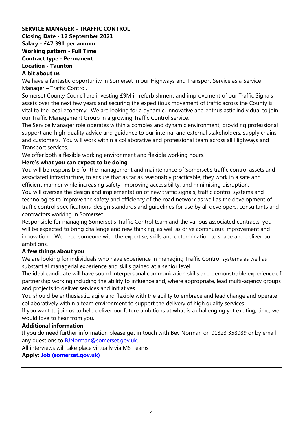#### SERVICE MANAGER - TRAFFIC CONTROL Closing Date - 12 September 2021 Salary - £47,391 per annum Working pattern - Full Time Contract type - Permanent Location - Taunton A bit about us

We have a fantastic opportunity in Somerset in our Highways and Transport Service as a Service Manager – Traffic Control.

Somerset County Council are investing £9M in refurbishment and improvement of our Traffic Signals assets over the next few years and securing the expeditious movement of traffic across the County is vital to the local economy. We are looking for a dynamic, innovative and enthusiastic individual to join our Traffic Management Group in a growing Traffic Control service.

The Service Manager role operates within a complex and dynamic environment, providing professional support and high-quality advice and guidance to our internal and external stakeholders, supply chains and customers. You will work within a collaborative and professional team across all Highways and Transport services.

We offer both a flexible working environment and flexible working hours.

#### Here's what you can expect to be doing

You will be responsible for the management and maintenance of Somerset's traffic control assets and associated infrastructure, to ensure that as far as reasonably practicable, they work in a safe and efficient manner while increasing safety, improving accessibility, and minimising disruption.

You will oversee the design and implementation of new traffic signals, traffic control systems and technologies to improve the safety and efficiency of the road network as well as the development of traffic control specifications, design standards and guidelines for use by all developers, consultants and contractors working in Somerset.

Responsible for managing Somerset's Traffic Control team and the various associated contracts, you will be expected to bring challenge and new thinking, as well as drive continuous improvement and innovation. We need someone with the expertise, skills and determination to shape and deliver our ambitions.

#### A few things about you

We are looking for individuals who have experience in managing Traffic Control systems as well as substantial managerial experience and skills gained at a senior level.

The ideal candidate will have sound interpersonal communication skills and demonstrable experience of partnership working including the ability to influence and, where appropriate, lead multi-agency groups and projects to deliver services and initiatives.

You should be enthusiastic, agile and flexible with the ability to embrace and lead change and operate collaboratively within a team environment to support the delivery of high quality services.

If you want to join us to help deliver our future ambitions at what is a challenging yet exciting, time, we would love to hear from you.

#### Additional information

If you do need further information please get in touch with Bev Norman on 01823 358089 or by email any questions to **BJNorman@somerset.gov.uk.** 

All interviews will take place virtually via MS Teams

Apply: Job (somerset.gov.uk)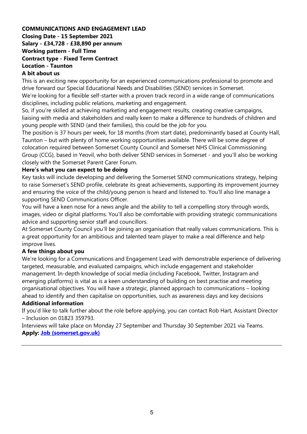#### COMMUNICATIONS AND ENGAGEMENT LEAD Closing Date - 15 September 2021 Salary - £34,728 - £38,890 per annum Working pattern - Full Time Contract type - Fixed Term Contract Location - Taunton A bit about us

This is an exciting new opportunity for an experienced communications professional to promote and drive forward our Special Educational Needs and Disabilities (SEND) services in Somerset.

We're looking for a flexible self-starter with a proven track record in a wide range of communications disciplines, including public relations, marketing and engagement.

So, if you're skilled at achieving marketing and engagement results, creating creative campaigns, liaising with media and stakeholders and really keen to make a difference to hundreds of children and young people with SEND (and their families), this could be the job for you.

The position is 37 hours per week, for 18 months (from start date), predominantly based at County Hall, Taunton – but with plenty of home working opportunities available. There will be some degree of colocation required between Somerset County Council and Somerset NHS Clinical Commissioning Group (CCG), based in Yeovil, who both deliver SEND services in Somerset - and you'll also be working closely with the Somerset Parent Carer Forum.

#### Here's what you can expect to be doing

Key tasks will include developing and delivering the Somerset SEND communications strategy, helping to raise Somerset's SEND profile, celebrate its great achievements, supporting its improvement journey and ensuring the voice of the child/young person is heard and listened to. You'll also line manage a supporting SEND Communications Officer.

You will have a keen nose for a news angle and the ability to tell a compelling story through words, images, video or digital platforms. You'll also be comfortable with providing strategic communications advice and supporting senior staff and councillors.

At Somerset County Council you'll be joining an organisation that really values communications. This is a great opportunity for an ambitious and talented team player to make a real difference and help improve lives.

#### A few things about you

We're looking for a Communications and Engagement Lead with demonstrable experience of delivering targeted, measurable, and evaluated campaigns, which include engagement and stakeholder management. In-depth knowledge of social media (including Facebook, Twitter, Instagram and emerging platforms) is vital as is a keen understanding of building on best practise and meeting organisational objectives. You will have a strategic, planned approach to communications – looking ahead to identify and then capitalise on opportunities, such as awareness days and key decisions

#### Additional information

If you'd like to talk further about the role before applying, you can contact Rob Hart, Assistant Director – Inclusion on 01823 359793.

Interviews will take place on Monday 27 September and Thursday 30 September 2021 via Teams. Apply: Job (somerset.gov.uk)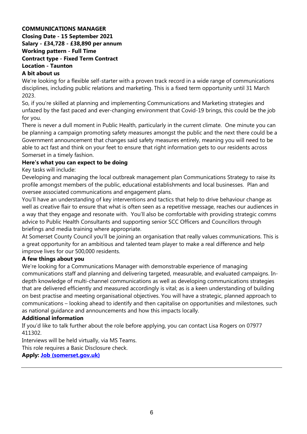#### COMMUNICATIONS MANAGER Closing Date - 15 September 2021 Salary - £34,728 - £38,890 per annum Working pattern - Full Time Contract type - Fixed Term Contract Location - Taunton A bit about us

We're looking for a flexible self-starter with a proven track record in a wide range of communications disciplines, including public relations and marketing. This is a fixed term opportunity until 31 March 2023.

So, if you're skilled at planning and implementing Communications and Marketing strategies and unfazed by the fast paced and ever-changing environment that Covid-19 brings, this could be the job for you.

There is never a dull moment in Public Health, particularly in the current climate. One minute you can be planning a campaign promoting safety measures amongst the public and the next there could be a Government announcement that changes said safety measures entirely, meaning you will need to be able to act fast and think on your feet to ensure that right information gets to our residents across Somerset in a timely fashion.

#### Here's what you can expect to be doing

Key tasks will include:

Developing and managing the local outbreak management plan Communications Strategy to raise its profile amongst members of the public, educational establishments and local businesses. Plan and oversee associated communications and engagement plans.

You'll have an understanding of key interventions and tactics that help to drive behaviour change as well as creative flair to ensure that what is often seen as a repetitive message, reaches our audiences in a way that they engage and resonate with. You'll also be comfortable with providing strategic comms advice to Public Health Consultants and supporting senior SCC Officers and Councillors through briefings and media training where appropriate.

At Somerset County Council you'll be joining an organisation that really values communications. This is a great opportunity for an ambitious and talented team player to make a real difference and help improve lives for our 500,000 residents.

#### A few things about you

We're looking for a Communications Manager with demonstrable experience of managing communications staff and planning and delivering targeted, measurable, and evaluated campaigns. Indepth knowledge of multi-channel communications as well as developing communications strategies that are delivered efficiently and measured accordingly is vital; as is a keen understanding of building on best practise and meeting organisational objectives. You will have a strategic, planned approach to communications – looking ahead to identify and then capitalise on opportunities and milestones, such as national guidance and announcements and how this impacts locally.

#### Additional information

If you'd like to talk further about the role before applying, you can contact Lisa Rogers on 07977 411302.

Interviews will be held virtually, via MS Teams.

This role requires a Basic Disclosure check.

Apply: Job (somerset.gov.uk)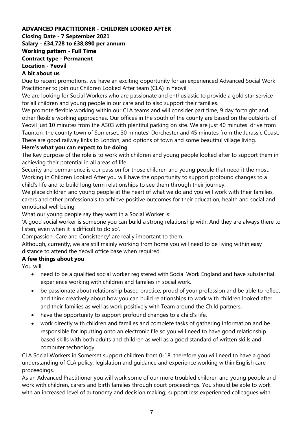#### ADVANCED PRACTITIONER - CHILDREN LOOKED AFTER Closing Date - 7 September 2021 Salary - £34,728 to £38,890 per annum Working pattern - Full Time Contract type - Permanent Location - Yeovil A bit about us

Due to recent promotions, we have an exciting opportunity for an experienced Advanced Social Work Practitioner to join our Children Looked After team (CLA) in Yeovil.

We are looking for Social Workers who are passionate and enthusiastic to provide a gold star service for all children and young people in our care and to also support their families.

We promote flexible working within our CLA teams and will consider part time, 9 day fortnight and other flexible working approaches. Our offices in the south of the county are based on the outskirts of Yeovil just 10 minutes from the A303 with plentiful parking on site. We are just 40 minutes' drive from Taunton, the county town of Somerset, 30 minutes' Dorchester and 45 minutes from the Jurassic Coast. There are good railway links to London, and options of town and some beautiful village living.

#### Here's what you can expect to be doing

The Key purpose of the role is to work with children and young people looked after to support them in achieving their potential in all areas of life.

Security and permanence is our passion for those children and young people that need it the most. Working in Children Looked After you will have the opportunity to support profound changes to a child's life and to build long term relationships to see them through their journey.

We place children and young people at the heart of what we do and you will work with their families, carers and other professionals to achieve positive outcomes for their education, health and social and emotional well being.

What our young people say they want in a Social Worker is:

'A good social worker is someone you can build a strong relationship with. And they are always there to listen, even when it is difficult to do so'.

Compassion, Care and Consistency' are really important to them.

Although, currently, we are still mainly working from home you will need to be living within easy distance to attend the Yeovil office base when required.

# A few things about you

You will:

- need to be a qualified social worker registered with Social Work England and have substantial experience working with children and families in social work.
- be passionate about relationship based practice, proud of your profession and be able to reflect and think creatively about how you can build relationships to work with children looked after and their families as well as work positively with Team around the Child partners.
- have the opportunity to support profound changes to a child's life.
- work directly with children and families and complete tasks of gathering information and be responsible for inputting onto an electronic file so you will need to have good relationship based skills with both adults and children as well as a good standard of written skills and computer technology.

CLA Social Workers in Somerset support children from 0-18, therefore you will need to have a good understanding of CLA policy, legislation and guidance and experience working within English care proceedings.

As an Advanced Practitioner you will work some of our more troubled children and young people and work with children, carers and birth families through court proceedings. You should be able to work with an increased level of autonomy and decision making; support less experienced colleagues with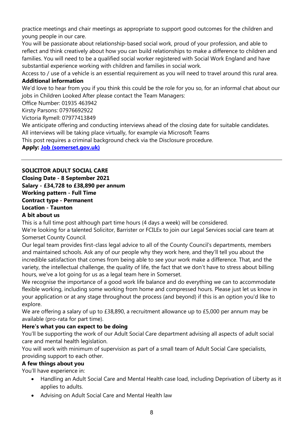practice meetings and chair meetings as appropriate to support good outcomes for the children and young people in our care.

You will be passionate about relationship-based social work, proud of your profession, and able to reflect and think creatively about how you can build relationships to make a difference to children and families. You will need to be a qualified social worker registered with Social Work England and have substantial experience working with children and families in social work.

Access to / use of a vehicle is an essential requirement as you will need to travel around this rural area.

#### Additional information

We'd love to hear from you if you think this could be the role for you so, for an informal chat about our jobs in Children Looked After please contact the Team Managers:

Office Number: 01935 463942

Kirsty Parsons: 07976692922

Victoria Rymell: 07977413849

We anticipate offering and conducting interviews ahead of the closing date for suitable candidates. All interviews will be taking place virtually, for example via Microsoft Teams

This post requires a criminal background check via the Disclosure procedure.

Apply: Job (somerset.gov.uk)

# SOLICITOR ADULT SOCIAL CARE

Closing Date - 8 September 2021 Salary - £34,728 to £38,890 per annum Working pattern - Full Time Contract type - Permanent Location - Taunton

# A bit about us

This is a full time post although part time hours (4 days a week) will be considered.

We're looking for a talented Solicitor, Barrister or FCILEx to join our Legal Services social care team at Somerset County Council.

Our legal team provides first-class legal advice to all of the County Council's departments, members and maintained schools. Ask any of our people why they work here, and they'll tell you about the incredible satisfaction that comes from being able to see your work make a difference. That, and the variety, the intellectual challenge, the quality of life, the fact that we don't have to stress about billing hours, we've a lot going for us as a legal team here in Somerset.

We recognise the importance of a good work life balance and do everything we can to accommodate flexible working, including some working from home and compressed hours. Please just let us know in your application or at any stage throughout the process (and beyond) if this is an option you'd like to explore.

We are offering a salary of up to £38,890, a recruitment allowance up to £5,000 per annum may be available (pro-rata for part time).

# Here's what you can expect to be doing

You'll be supporting the work of our Adult Social Care department advising all aspects of adult social care and mental health legislation.

You will work with minimum of supervision as part of a small team of Adult Social Care specialists, providing support to each other.

# A few things about you

You'll have experience in:

- Handling an Adult Social Care and Mental Health case load, including Deprivation of Liberty as it applies to adults.
- Advising on Adult Social Care and Mental Health law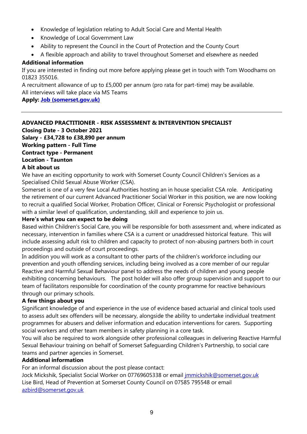- Knowledge of legislation relating to Adult Social Care and Mental Health
- Knowledge of Local Government Law
- Ability to represent the Council in the Court of Protection and the County Court
- A flexible approach and ability to travel throughout Somerset and elsewhere as needed

#### Additional information

If you are interested in finding out more before applying please get in touch with Tom Woodhams on 01823 355016.

A recruitment allowance of up to £5,000 per annum (pro rata for part-time) may be available. All interviews will take place via MS Teams

#### Apply: Job (somerset.gov.uk)

# ADVANCED PRACTITIONER - RISK ASSESSMENT & INTERVENTION SPECIALIST

Closing Date - 3 October 2021 Salary - £34,728 to £38,890 per annum Working pattern - Full Time Contract type - Permanent Location - Taunton A bit about us

We have an exciting opportunity to work with Somerset County Council Children's Services as a Specialised Child Sexual Abuse Worker (CSA).

Somerset is one of a very few Local Authorities hosting an in house specialist CSA role. Anticipating the retirement of our current Advanced Practitioner Social Worker in this position, we are now looking to recruit a qualified Social Worker, Probation Officer, Clinical or Forensic Psychologist or professional with a similar level of qualification, understanding, skill and experience to join us.

#### Here's what you can expect to be doing

Based within Children's Social Care, you will be responsible for both assessment and, where indicated as necessary, intervention in families where CSA is a current or unaddressed historical feature. This will include assessing adult risk to children and capacity to protect of non-abusing partners both in court proceedings and outside of court proceedings.

In addition you will work as a consultant to other parts of the children's workforce including our prevention and youth offending services, including being involved as a core member of our regular Reactive and Harmful Sexual Behaviour panel to address the needs of children and young people exhibiting concerning behaviours. The post holder will also offer group supervision and support to our team of facilitators responsible for coordination of the county programme for reactive behaviours through our primary schools.

#### A few things about you

Significant knowledge of and experience in the use of evidence based actuarial and clinical tools used to assess adult sex offenders will be necessary, alongside the ability to undertake individual treatment programmes for abusers and deliver information and education interventions for carers. Supporting social workers and other team members in safety planning in a core task.

You will also be required to work alongside other professional colleagues in delivering Reactive Harmful Sexual Behaviour training on behalf of Somerset Safeguarding Children's Partnership, to social care teams and partner agencies in Somerset.

#### Additional information

For an informal discussion about the post please contact:

Jock Mickshik, Specialist Social Worker on 07769605338 or email jmmickshik@somerset.gov.uk Lise Bird, Head of Prevention at Somerset County Council on 07585 795548 or email azbird@somerset.gov.uk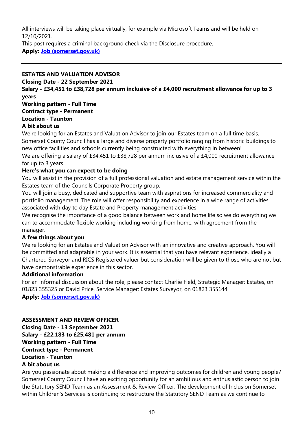All interviews will be taking place virtually, for example via Microsoft Teams and will be held on 12/10/2021.

This post requires a criminal background check via the Disclosure procedure. Apply: Job (somerset.gov.uk)

# ESTATES AND VALUATION ADVISOR

Closing Date - 22 September 2021

Salary - £34,451 to £38,728 per annum inclusive of a £4,000 recruitment allowance for up to 3 years

Working pattern - Full Time Contract type - Permanent

# Location - Taunton

#### A bit about us

We're looking for an Estates and Valuation Advisor to join our Estates team on a full time basis. Somerset County Council has a large and diverse property portfolio ranging from historic buildings to new office facilities and schools currently being constructed with everything in between! We are offering a salary of £34,451 to £38,728 per annum inclusive of a £4,000 recruitment allowance for up to 3 years

#### Here's what you can expect to be doing

You will assist in the provision of a full professional valuation and estate management service within the Estates team of the Councils Corporate Property group.

You will join a busy, dedicated and supportive team with aspirations for increased commerciality and portfolio management. The role will offer responsibility and experience in a wide range of activities associated with day to day Estate and Property management activities.

We recognise the importance of a good balance between work and home life so we do everything we can to accommodate flexible working including working from home, with agreement from the manager.

#### A few things about you

We're looking for an Estates and Valuation Advisor with an innovative and creative approach. You will be committed and adaptable in your work. It is essential that you have relevant experience, ideally a Chartered Surveyor and RICS Registered valuer but consideration will be given to those who are not but have demonstrable experience in this sector.

# Additional information

For an informal discussion about the role, please contact Charlie Field, Strategic Manager: Estates, on 01823 355325 or David Price, Service Manager: Estates Surveyor, on 01823 355144

Apply: Job (somerset.gov.uk)

#### ASSESSMENT AND REVIEW OFFICER

Closing Date - 13 September 2021 Salary - £22,183 to £25,481 per annum Working pattern - Full Time Contract type - Permanent Location - Taunton A bit about us

Are you passionate about making a difference and improving outcomes for children and young people? Somerset County Council have an exciting opportunity for an ambitious and enthusiastic person to join the Statutory SEND Team as an Assessment & Review Officer. The development of Inclusion Somerset within Children's Services is continuing to restructure the Statutory SEND Team as we continue to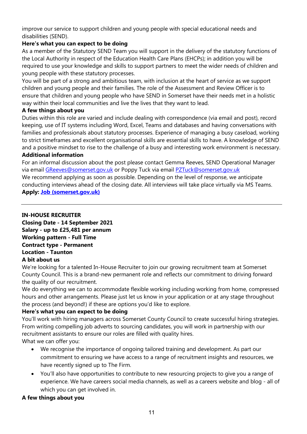improve our service to support children and young people with special educational needs and disabilities (SEND).

# Here's what you can expect to be doing

As a member of the Statutory SEND Team you will support in the delivery of the statutory functions of the Local Authority in respect of the Education Health Care Plans (EHCPs); in addition you will be required to use your knowledge and skills to support partners to meet the wider needs of children and young people with these statutory processes.

You will be part of a strong and ambitious team, with inclusion at the heart of service as we support children and young people and their families. The role of the Assessment and Review Officer is to ensure that children and young people who have SEND in Somerset have their needs met in a holistic way within their local communities and live the lives that they want to lead.

#### A few things about you

Duties within this role are varied and include dealing with correspondence (via email and post), record keeping, use of IT systems including Word, Excel, Teams and databases and having conversations with families and professionals about statutory processes. Experience of managing a busy caseload, working to strict timeframes and excellent organisational skills are essential skills to have. A knowledge of SEND and a positive mindset to rise to the challenge of a busy and interesting work environment is necessary.

# Additional information

For an informal discussion about the post please contact Gemma Reeves, SEND Operational Manager via email GReeves@somerset.gov.uk or Poppy Tuck via email PZTuck@somerset.gov.uk

We recommend applying as soon as possible. Depending on the level of response, we anticipate conducting interviews ahead of the closing date. All interviews will take place virtually via MS Teams.

Apply: Job (somerset.gov.uk)

IN-HOUSE RECRUITER Closing Date - 14 September 2021 Salary - up to £25,481 per annum Working pattern - Full Time Contract type - Permanent Location - Taunton A bit about us

#### We're looking for a talented In-House Recruiter to join our growing recruitment team at Somerset County Council. This is a brand-new permanent role and reflects our commitment to driving forward the quality of our recruitment.

We do everything we can to accommodate flexible working including working from home, compressed hours and other arrangements. Please just let us know in your application or at any stage throughout the process (and beyond!) if these are options you'd like to explore.

#### Here's what you can expect to be doing

You'll work with hiring managers across Somerset County Council to create successful hiring strategies. From writing compelling job adverts to sourcing candidates, you will work in partnership with our recruitment assistants to ensure our roles are filled with quality hires. What we can offer you:

- We recognise the importance of ongoing tailored training and development. As part our commitment to ensuring we have access to a range of recruitment insights and resources, we have recently signed up to The Firm.
- You'll also have opportunities to contribute to new resourcing projects to give you a range of experience. We have careers social media channels, as well as a careers website and blog - all of which you can get involved in.

# A few things about you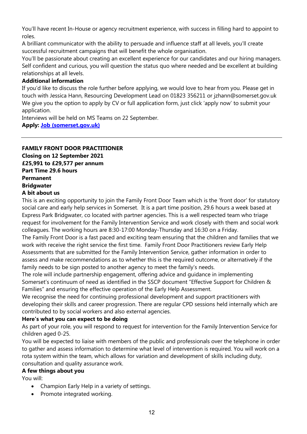You'll have recent In-House or agency recruitment experience, with success in filling hard to appoint to roles.

A brilliant communicator with the ability to persuade and influence staff at all levels, you'll create successful recruitment campaigns that will benefit the whole organisation.

You'll be passionate about creating an excellent experience for our candidates and our hiring managers. Self confident and curious, you will question the status quo where needed and be excellent at building relationships at all levels.

#### Additional information

If you'd like to discuss the role further before applying, we would love to hear from you. Please get in touch with Jessica Hann, Resourcing Development Lead on 01823 356211 or jzhann@somerset.gov.uk We give you the option to apply by CV or full application form, just click 'apply now' to submit your application.

Interviews will be held on MS Teams on 22 September.

#### Apply: Job (somerset.gov.uk)

# FAMILY FRONT DOOR PRACTITIONER Closing on 12 September 2021

£25,991 to £29,577 per annum Part Time 29.6 hours Permanent Bridgwater

# A bit about us

This is an exciting opportunity to join the Family Front Door Team which is the 'front door' for statutory social care and early help services in Somerset. It is a part time position, 29.6 hours a week based at Express Park Bridgwater, co located with partner agencies. This is a well respected team who triage request for involvement for the Family Intervention Service and work closely with them and social work colleagues. The working hours are 8:30-17:00 Monday-Thursday and 16:30 on a Friday.

The Family Front Door is a fast paced and exciting team ensuring that the children and families that we work with receive the right service the first time. Family Front Door Practitioners review Early Help Assessments that are submitted for the Family Intervention Service, gather information in order to assess and make recommendations as to whether this is the required outcome, or alternatively if the family needs to be sign posted to another agency to meet the family's needs.

The role will include partnership engagement, offering advice and guidance in implementing Somerset's continuum of need as identified in the SSCP document "Effective Support for Children & Families" and ensuring the effective operation of the Early Help Assessment.

We recognise the need for continuing professional development and support practitioners with developing their skills and career progression. There are regular CPD sessions held internally which are contributed to by social workers and also external agencies.

#### Here's what you can expect to be doing

As part of your role, you will respond to request for intervention for the Family Intervention Service for children aged 0-25.

You will be expected to liaise with members of the public and professionals over the telephone in order to gather and assess information to determine what level of intervention is required. You will work on a rota system within the team, which allows for variation and development of skills including duty, consultation and quality assurance work.

#### A few things about you

You will:

- Champion Early Help in a variety of settings.
- Promote integrated working.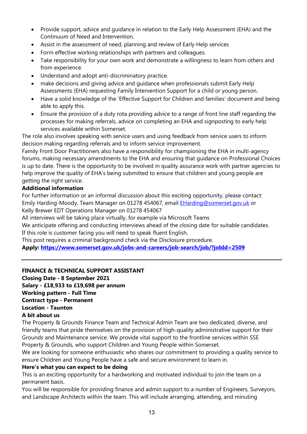- Provide support, advice and guidance in relation to the Early Help Assessment (EHA) and the Continuum of Need and Intervention.
- Assist in the assessment of need, planning and review of Early Help services
- Form effective working relationships with partners and colleagues.
- Take responsibility for your own work and demonstrate a willingness to learn from others and from experience.
- Understand and adopt anti-discriminatory practice.
- make decisions and giving advice and guidance when professionals submit Early Help Assessments (EHA) requesting Family Intervention Support for a child or young person.
- Have a solid knowledge of the 'Effective Support for Children and families' document and being able to apply this.
- Ensure the provision of a duty rota providing advice to a range of front line staff regarding the processes for making referrals, advice on completing an EHA and signposting to early help services available within Somerset.

The role also involves speaking with service users and using feedback from service users to inform decision making regarding referrals and to inform service improvement.

Family Front Door Practitioners also have a responsibility for championing the EHA in multi-agency forums, making necessary amendments to the EHA and ensuring that guidance on Professional Choices is up to date. There is the opportunity to be involved in quality assurance work with partner agencies to help improve the quality of EHA's being submitted to ensure that children and young people are getting the right service.

#### Additional information

For further information or an informal discussion about this exciting opportunity, please contact: Emily Harding-Moody, Team Manager on 01278 454067, email **EHarding@somerset.gov.uk or** Kelly Brewer EDT Operations Manager on 01278 454067

All interviews will be taking place virtually, for example via Microsoft Teams

We anticipate offering and conducting interviews ahead of the closing date for suitable candidates. If this role is customer facing you will need to speak fluent English.

This post requires a criminal background check via the Disclosure procedure.

Apply: https://www.somerset.gov.uk/jobs-and-careers/job-search/job/?jobId=2509

#### FINANCE & TECHNICAL SUPPORT ASSISTANT

Closing Date - 8 September 2021

Salary - £18,933 to £19,698 per annum

Working pattern - Full Time

Contract type - Permanent

# Location - Taunton

#### A bit about us

The Property & Grounds Finance Team and Technical Admin Team are two dedicated, diverse, and friendly teams that pride themselves on the provision of high-quality administrative support for their Grounds and Maintenance service. We provide vital support to the frontline services within SSE Property & Grounds, who support Children and Young People within Somerset.

We are looking for someone enthusiastic who shares our commitment to providing a quality service to ensure Children and Young People have a safe and secure environment to learn in.

#### Here's what you can expect to be doing

This is an exciting opportunity for a hardworking and motivated individual to join the team on a permanent basis.

You will be responsible for providing finance and admin support to a number of Engineers, Surveyors, and Landscape Architects within the team. This will include arranging, attending, and minuting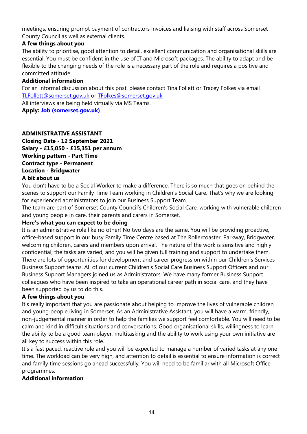meetings, ensuring prompt payment of contractors invoices and liaising with staff across Somerset County Council as well as external clients.

#### A few things about you

The ability to prioritise, good attention to detail, excellent communication and organisational skills are essential. You must be confident in the use of IT and Microsoft packages. The ability to adapt and be flexible to the changing needs of the role is a necessary part of the role and requires a positive and committed attitude.

#### Additional information

For an informal discussion about this post, please contact Tina Follett or Tracey Folkes via email TLFollett@somerset.gov.uk or TFolkes@somerset.gov.uk

All interviews are being held virtually via MS Teams.

Apply: Job (somerset.gov.uk)

#### ADMINISTRATIVE ASSISTANT

Closing Date - 12 September 2021 Salary - £15,050 - £15,351 per annum Working pattern - Part Time Contract type - Permanent Location - Bridgwater A bit about us

You don't have to be a Social Worker to make a difference. There is so much that goes on behind the scenes to support our Family Time Team working in Children's Social Care. That's why we are looking for experienced administrators to join our Business Support Team.

The team are part of Somerset County Council's Children's Social Care, working with vulnerable children and young people in care, their parents and carers in Somerset.

#### Here's what you can expect to be doing

It is an administrative role like no other! No two days are the same. You will be providing proactive, office-based support in our busy Family Time Centre based at The Rollercoaster, Parkway, Bridgwater, welcoming children, carers and members upon arrival. The nature of the work is sensitive and highly confidential; the tasks are varied, and you will be given full training and support to undertake them. There are lots of opportunities for development and career progression within our Children's Services Business Support teams. All of our current Children's Social Care Business Support Officers and our Business Support Managers joined us as Administrators. We have many former Business Support colleagues who have been inspired to take an operational career path in social care, and they have been supported by us to do this.

#### A few things about you

It's really important that you are passionate about helping to improve the lives of vulnerable children and young people living in Somerset. As an Administrative Assistant, you will have a warm, friendly, non-judgemental manner in order to help the families we support feel comfortable. You will need to be calm and kind in difficult situations and conversations. Good organisational skills, willingness to learn, the ability to be a good team player, multitasking and the ability to work using your own initiative are all key to success within this role.

It's a fast paced, reactive role and you will be expected to manage a number of varied tasks at any one time. The workload can be very high, and attention to detail is essential to ensure information is correct and family time sessions go ahead successfully. You will need to be familiar with all Microsoft Office programmes.

#### Additional information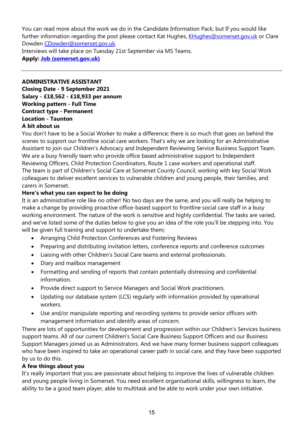You can read more about the work we do in the Candidate Information Pack, but If you would like further information regarding the post please contact Kat Hughes, KHughes@somerset.gov.uk or Clare Dowden CDowden@somerset.gov.uk.

Interviews will take place on Tuesday 21st September via MS Teams.

Apply: Job (somerset.gov.uk)

ADMINISTRATIVE ASSISTANT Closing Date - 9 September 2021 Salary - £18,562 - £18,933 per annum Working pattern - Full Time Contract type - Permanent Location - Taunton

#### A bit about us

You don't have to be a Social Worker to make a difference; there is so much that goes on behind the scenes to support our frontline social care workers. That's why we are looking for an Administrative Assistant to join our Children's Advocacy and Independent Reviewing Service Business Support Team. We are a busy friendly team who provide office based administrative support to Independent Reviewing Officers, Child Protection Coordinators, Route 1 case workers and operational staff. The team is part of Children's Social Care at Somerset County Council, working with key Social Work colleagues to deliver excellent services to vulnerable children and young people, their families, and carers in Somerset.

#### Here's what you can expect to be doing

It is an administrative role like no other! No two days are the same, and you will really be helping to make a change by providing proactive office-based support to frontline social care staff in a busy working environment. The nature of the work is sensitive and highly confidential. The tasks are varied, and we've listed some of the duties below to give you an idea of the role you'll be stepping into. You will be given full training and support to undertake them;

- Arranging Child Protection Conferences and Fostering Reviews
- Preparing and distributing invitation letters, conference reports and conference outcomes
- Liaising with other Children's Social Care teams and external professionals.
- Diary and mailbox management
- Formatting and sending of reports that contain potentially distressing and confidential information.
- Provide direct support to Service Managers and Social Work practitioners.
- Updating our database system (LCS) regularly with information provided by operational workers.
- Use and/or manipulate reporting and recording systems to provide senior officers with management information and identify areas of concern.

There are lots of opportunities for development and progression within our Children's Services business support teams. All of our current Children's Social Care Business Support Officers and our Business Support Managers joined us as Administrators. And we have many former business support colleagues who have been inspired to take an operational career path in social care, and they have been supported by us to do this.

#### A few things about you

It's really important that you are passionate about helping to improve the lives of vulnerable children and young people living in Somerset. You need excellent organisational skills, willingness to learn, the ability to be a good team player, able to multitask and be able to work under your own initiative.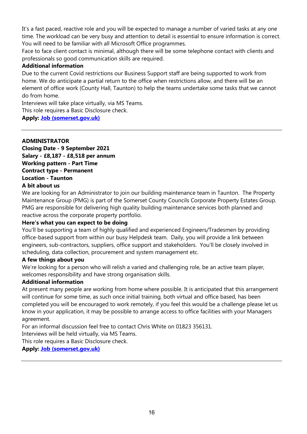It's a fast paced, reactive role and you will be expected to manage a number of varied tasks at any one time. The workload can be very busy and attention to detail is essential to ensure information is correct. You will need to be familiar with all Microsoft Office programmes.

Face to face client contact is minimal, although there will be some telephone contact with clients and professionals so good communication skills are required.

#### Additional information

Due to the current Covid restrictions our Business Support staff are being supported to work from home. We do anticipate a partial return to the office when restrictions allow, and there will be an element of office work (County Hall, Taunton) to help the teams undertake some tasks that we cannot do from home.

Interviews will take place virtually, via MS Teams.

This role requires a Basic Disclosure check.

Apply: Job (somerset.gov.uk)

#### ADMINISTRATOR

Closing Date - 9 September 2021 Salary - £8,187 - £8,518 per annum Working pattern - Part Time Contract type - Permanent Location - Taunton A bit about us

We are looking for an Administrator to join our building maintenance team in Taunton. The Property Maintenance Group (PMG) is part of the Somerset County Councils Corporate Property Estates Group. PMG are responsible for delivering high quality building maintenance services both planned and reactive across the corporate property portfolio.

#### Here's what you can expect to be doing

You'll be supporting a team of highly qualified and experienced Engineers/Tradesmen by providing office-based support from within our busy Helpdesk team. Daily, you will provide a link between engineers, sub-contractors, suppliers, office support and stakeholders. You'll be closely involved in scheduling, data collection, procurement and system management etc.

#### A few things about you

We're looking for a person who will relish a varied and challenging role, be an active team player, welcomes responsibility and have strong organisation skills.

#### Additional information

At present many people are working from home where possible. It is anticipated that this arrangement will continue for some time, as such once initial training, both virtual and office based, has been completed you will be encouraged to work remotely, if you feel this would be a challenge please let us know in your application, it may be possible to arrange access to office facilities with your Managers agreement.

For an informal discussion feel free to contact Chris White on 01823 356131.

Interviews will be held virtually, via MS Teams.

This role requires a Basic Disclosure check.

#### Apply: Job (somerset.gov.uk)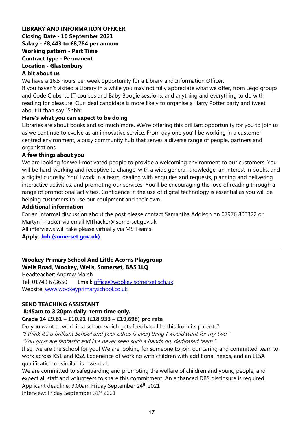#### LIBRARY AND INFORMATION OFFICER Closing Date - 10 September 2021 Salary - £8,443 to £8,784 per annum Working pattern - Part Time Contract type - Permanent Location - Glastonbury A bit about us

We have a 16.5 hours per week opportunity for a Library and Information Officer.

If you haven't visited a Library in a while you may not fully appreciate what we offer, from Lego groups and Code Clubs, to IT courses and Baby Boogie sessions, and anything and everything to do with reading for pleasure. Our ideal candidate is more likely to organise a Harry Potter party and tweet about it than say "Shhh".

#### Here's what you can expect to be doing

Libraries are about books and so much more. We're offering this brilliant opportunity for you to join us as we continue to evolve as an innovative service. From day one you'll be working in a customer centred environment, a busy community hub that serves a diverse range of people, partners and organisations.

#### A few things about you

We are looking for well-motivated people to provide a welcoming environment to our customers. You will be hard-working and receptive to change, with a wide general knowledge, an interest in books, and a digital curiosity. You'll work in a team, dealing with enquiries and requests, planning and delivering interactive activities, and promoting our services You'll be encouraging the love of reading through a range of promotional activities. Confidence in the use of digital technology is essential as you will be helping customers to use our equipment and their own.

#### Additional information

For an informal discussion about the post please contact Samantha Addison on 07976 800322 or Martyn Thacker via email MThacker@somerset.gov.uk

All interviews will take please virtually via MS Teams.

#### Apply: Job (somerset.gov.uk)

#### Wookey Primary School And Little Acorns Playgroup Wells Road, Wookey, Wells, Somerset, BA5 1LQ

Headteacher: Andrew Marsh Tel: 01749 673650 Email: office@wookey.somerset.sch.uk Website: www.wookeyprimaryschool.co.uk

#### SEND TEACHING ASSISTANT

#### 8:45am to 3:20pm daily, term time only.

#### Grade 14 £9.81 – £10.21 (£18,933 – £19,698) pro rata

Do you want to work in a school which gets feedback like this from its parents?

"I think it's a brilliant School and your ethos is everything I would want for my two."

"You guys are fantastic and I've never seen such a hands on, dedicated team."

If so, we are the school for you! We are looking for someone to join our caring and committed team to work across KS1 and KS2. Experience of working with children with additional needs, and an ELSA qualification or similar, is essential.

We are committed to safeguarding and promoting the welfare of children and young people, and expect all staff and volunteers to share this commitment. An enhanced DBS disclosure is required. Applicant deadline: 9.00am Friday September 24<sup>th</sup> 2021

Interview: Friday September 31<sup>st</sup> 2021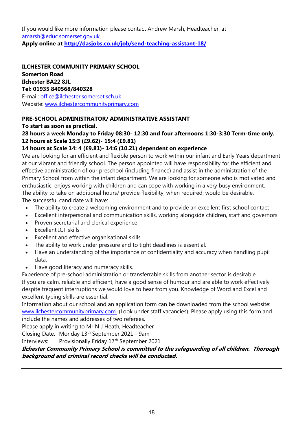If you would like more information please contact Andrew Marsh, Headteacher, at amarsh@educ.somerset.gov.uk.

Apply online at http://dasjobs.co.uk/job/send-teaching-assistant-18/

ILCHESTER COMMUNITY PRIMARY SCHOOL Somerton Road Ilchester BA22 8JL Tel: 01935 840568/840328 E-mail: office@ilchester.somerset.sch.uk Website: www.ilchestercommunityprimary.com

# PRE-SCHOOL ADMINISTRATOR/ ADMINISTRATIVE ASSISTANT

To start as soon as practical.

# 28 hours a week Monday to Friday 08:30- 12:30 and four afternoons 1:30-3:30 Term-time only. 12 hours at Scale 15:3 (£9.62)- 15:4 (£9.81)

#### 14 hours at Scale 14: 4 (£9.81)- 14:6 (10.21) dependent on experience

We are looking for an efficient and flexible person to work within our infant and Early Years department at our vibrant and friendly school. The person appointed will have responsibility for the efficient and effective administration of our preschool (including finance) and assist in the administration of the Primary School from within the infant department. We are looking for someone who is motivated and enthusiastic, enjoys working with children and can cope with working in a very busy environment. The ability to take on additional hours/ provide flexibility, when required, would be desirable. The successful candidate will have:

The ability to create a welcoming environment and to provide an excellent first school contact

- 
- Excellent interpersonal and communication skills, working alongside children, staff and governors
- Proven secretarial and clerical experience
- Excellent ICT skills
- Excellent and effective organisational skills
- The ability to work under pressure and to tight deadlines is essential.
- Have an understanding of the importance of confidentiality and accuracy when handling pupil data.
- Have good literacy and numeracy skills.

Experience of pre-school administration or transferrable skills from another sector is desirable. If you are calm, reliable and efficient, have a good sense of humour and are able to work effectively despite frequent interruptions we would love to hear from you. Knowledge of Word and Excel and excellent typing skills are essential.

Information about our school and an application form can be downloaded from the school website: www.ilchestercommunityprimary.com (Look under staff vacancies). Please apply using this form and include the names and addresses of two referees.

Please apply in writing to Mr N J Heath, Headteacher

Closing Date: Monday 13th September 2021 - 9am

Interviews: Provisionally Friday 17th September 2021

#### Ilchester Community Primary School is committed to the safeguarding of all children. Thorough background and criminal record checks will be conducted.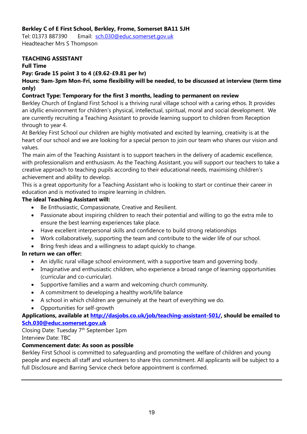## Berkley C of E First School, Berkley, Frome, Somerset BA11 5JH

Tel: 01373 887390 Email: sch.030@educ.somerset.gov.uk Headteacher Mrs S Thompson

#### TEACHING ASSISTANT

#### Full Time

#### Pay: Grade 15 point 3 to 4 (£9.62-£9.81 per hr)

Hours: 9am-3pm Mon-Fri, some flexibility will be needed, to be discussed at interview (term time only)

#### Contract Type: Temporary for the first 3 months, leading to permanent on review

Berkley Church of England First School is a thriving rural village school with a caring ethos. It provides an idyllic environment for children's physical, intellectual, spiritual, moral and social development. We are currently recruiting a Teaching Assistant to provide learning support to children from Reception through to year 4.

At Berkley First School our children are highly motivated and excited by learning, creativity is at the heart of our school and we are looking for a special person to join our team who shares our vision and values.

The main aim of the Teaching Assistant is to support teachers in the delivery of academic excellence, with professionalism and enthusiasm. As the Teaching Assistant, you will support our teachers to take a creative approach to teaching pupils according to their educational needs, maximising children's achievement and ability to develop.

This is a great opportunity for a Teaching Assistant who is looking to start or continue their career in education and is motivated to inspire learning in children.

#### The ideal Teaching Assistant will:

- Be Enthusiastic, Compassionate, Creative and Resilient.
- Passionate about inspiring children to reach their potential and willing to go the extra mile to ensure the best learning experiences take place.
- Have excellent interpersonal skills and confidence to build strong relationships
- Work collaboratively, supporting the team and contribute to the wider life of our school.
- Bring fresh ideas and a willingness to adapt quickly to change.

#### In return we can offer:

- An idyllic rural village school environment, with a supportive team and governing body.
- Imaginative and enthusiastic children, who experience a broad range of learning opportunities (curricular and co-curricular).
- Supportive families and a warm and welcoming church community.
- A commitment to developing a healthy work/life balance
- A school in which children are genuinely at the heart of everything we do.
- Opportunities for self-growth

#### Applications, available at http://dasjobs.co.uk/job/teaching-assistant-501/, should be emailed to Sch.030@educ.somerset.gov.uk

Closing Date: Tuesday 7th September 1pm Interview Date: TBC

#### Commencement date: As soon as possible

Berkley First School is committed to safeguarding and promoting the welfare of children and young people and expects all staff and volunteers to share this commitment. All applicants will be subject to a full Disclosure and Barring Service check before appointment is confirmed.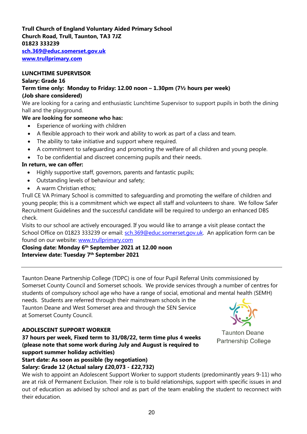#### Trull Church of England Voluntary Aided Primary School Church Road, Trull, Taunton, TA3 7JZ 01823 333239 sch.369@educ.somerset.gov.uk

www.trullprimary.com

#### LUNCHTIME SUPERVISOR

#### Salary: Grade 16

Term time only: Monday to Friday: 12.00 noon – 1.30pm (7½ hours per week) (Job share considered)

We are looking for a caring and enthusiastic Lunchtime Supervisor to support pupils in both the dining hall and the playground.

#### We are looking for someone who has:

- Experience of working with children
- A flexible approach to their work and ability to work as part of a class and team.
- The ability to take initiative and support where required.
- A commitment to safeguarding and promoting the welfare of all children and young people.
- To be confidential and discreet concerning pupils and their needs.

# In return, we can offer:

- Highly supportive staff, governors, parents and fantastic pupils;
- Outstanding levels of behaviour and safety;
- A warm Christian ethos;

Trull CE VA Primary School is committed to safeguarding and promoting the welfare of children and young people; this is a commitment which we expect all staff and volunteers to share. We follow Safer Recruitment Guidelines and the successful candidate will be required to undergo an enhanced DBS check.

Visits to our school are actively encouraged. If you would like to arrange a visit please contact the School Office on 01823 333239 or email: sch.369@educ.somerset.gov.uk. An application form can be found on our website: www.trullprimary.com

Closing date: Monday 6th September 2021 at 12.00 noon Interview date: Tuesday 7<sup>th</sup> September 2021

Taunton Deane Partnership College (TDPC) is one of four Pupil Referral Units commissioned by Somerset County Council and Somerset schools. We provide services through a number of centres for students of compulsory school age who have a range of social, emotional and mental health (SEMH)

needs. Students are referred through their mainstream schools in the Taunton Deane and West Somerset area and through the SEN Service at Somerset County Council.

#### ADOLESCENT SUPPORT WORKER



**Taunton Deane Partnership College** 

37 hours per week, Fixed term to 31/08/22, term time plus 4 weeks (please note that some work during July and August is required to support summer holiday activities) Start date: As soon as possible (by negotiation)

Salary: Grade 12 (Actual salary £20,073 - £22,732)

We wish to appoint an Adolescent Support Worker to support students (predominantly years 9-11) who are at risk of Permanent Exclusion. Their role is to build relationships, support with specific issues in and out of education as advised by school and as part of the team enabling the student to reconnect with their education.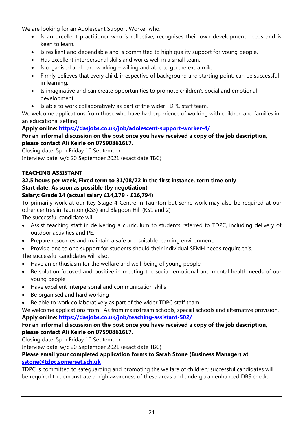We are looking for an Adolescent Support Worker who:

- Is an excellent practitioner who is reflective, recognises their own development needs and is keen to learn.
- Is resilient and dependable and is committed to high quality support for young people.
- Has excellent interpersonal skills and works well in a small team.
- Is organised and hard working willing and able to go the extra mile.
- Firmly believes that every child, irrespective of background and starting point, can be successful in learning.
- Is imaginative and can create opportunities to promote children's social and emotional development.
- Is able to work collaboratively as part of the wider TDPC staff team.

We welcome applications from those who have had experience of working with children and families in an educational setting.

# Apply online: https://dasjobs.co.uk/job/adolescent-support-worker-4/

# For an informal discussion on the post once you have received a copy of the job description, please contact Ali Keirle on 07590861617.

Closing date: 5pm Friday 10 September Interview date: w/c 20 September 2021 (exact date TBC)

# TEACHING ASSISTANT

# 32.5 hours per week, Fixed term to 31/08/22 in the first instance, term time only Start date: As soon as possible (by negotiation)

# Salary: Grade 14 (actual salary £14,179 - £16,794)

To primarily work at our Key Stage 4 Centre in Taunton but some work may also be required at our other centres in Taunton (KS3) and Blagdon Hill (KS1 and 2)

The successful candidate will

- Assist teaching staff in delivering a curriculum to students referred to TDPC, including delivery of outdoor activities and PE.
- Prepare resources and maintain a safe and suitable learning environment.
- Provide one to one support for students should their individual SEMH needs require this.

The successful candidates will also:

- Have an enthusiasm for the welfare and well-being of young people
- Be solution focused and positive in meeting the social, emotional and mental health needs of our young people
- Have excellent interpersonal and communication skills
- Be organised and hard working
- Be able to work collaboratively as part of the wider TDPC staff team

We welcome applications from TAs from mainstream schools, special schools and alternative provision. Apply online: https://dasjobs.co.uk/job/teaching-assistant-502/

# For an informal discussion on the post once you have received a copy of the job description, please contact Ali Keirle on 07590861617.

Closing date: 5pm Friday 10 September

Interview date: w/c 20 September 2021 (exact date TBC)

#### Please email your completed application forms to Sarah Stone (Business Manager) at sstone@tdpc.somerset.sch.uk

TDPC is committed to safeguarding and promoting the welfare of children; successful candidates will be required to demonstrate a high awareness of these areas and undergo an enhanced DBS check.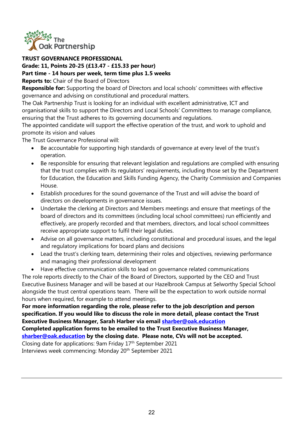

#### TRUST GOVERNANCE PROFESSIONAL

#### Grade: 11, Points 20-25 (£13.47 - £15.33 per hour) Part time - 14 hours per week, term time plus 1.5 weeks

Reports to: Chair of the Board of Directors

**Responsible for:** Supporting the board of Directors and local schools' committees with effective governance and advising on constitutional and procedural matters.

The Oak Partnership Trust is looking for an individual with excellent administrative, ICT and organisational skills to support the Directors and Local Schools' Committees to manage compliance, ensuring that the Trust adheres to its governing documents and regulations.

The appointed candidate will support the effective operation of the trust, and work to uphold and promote its vision and values

The Trust Governance Professional will:

- Be accountable for supporting high standards of governance at every level of the trust's operation.
- Be responsible for ensuring that relevant legislation and regulations are complied with ensuring that the trust complies with its regulators' requirements, including those set by the Department for Education, the Education and Skills Funding Agency, the Charity Commission and Companies House.
- Establish procedures for the sound governance of the Trust and will advise the board of directors on developments in governance issues.
- Undertake the clerking at Directors and Members meetings and ensure that meetings of the board of directors and its committees (including local school committees) run efficiently and effectively, are properly recorded and that members, directors, and local school committees receive appropriate support to fulfil their legal duties.
- Advise on all governance matters, including constitutional and procedural issues, and the legal and regulatory implications for board plans and decisions
- Lead the trust's clerking team, determining their roles and objectives, reviewing performance and managing their professional development
- Have effective communication skills to lead on governance related communications

The role reports directly to the Chair of the Board of Directors, supported by the CEO and Trust Executive Business Manager and will be based at our Hazelbrook Campus at Selworthy Special School alongside the trust central operations team. There will be the expectation to work outside normal hours when required, for example to attend meetings.

For more information regarding the role, please refer to the job description and person specification. If you would like to discuss the role in more detail, please contact the Trust Executive Business Manager, Sarah Harber via email sharber@oak.education

# Completed application forms to be emailed to the Trust Executive Business Manager, sharber@oak.education by the closing date. Please note, CVs will not be accepted.

Closing date for applications: 9am Friday 17th September 2021 Interviews week commencing: Monday 20<sup>th</sup> September 2021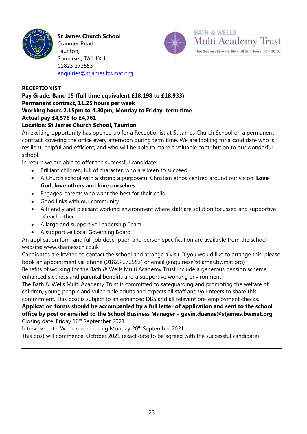

St James Church School

Cranmer Road, Taunton, Somerset, TA1 1XU 01823 272553 enquiries@stjames.bwmat.org



#### RECEPTIONIST

# Pay Grade: Band 15 (full time equivalent £18,198 to £18,933) Permanent contract, 11.25 hours per week Working hours 2.15pm to 4.30pm, Monday to Friday, term time Actual pay £4,576 to £4,761

#### Location: St James Church School, Taunton

An exciting opportunity has opened up for a Receptionist at St James Church School on a permanent contract, covering the office every afternoon during term time. We are looking for a candidate who is resilient, helpful and efficient, and who will be able to make a valuable contribution to our wonderful school.

In return we are able to offer the successful candidate:

- Brilliant children, full of character, who are keen to succeed
- A Church school with a strong a purposeful Christian ethos centred around our vision: Love God, love others and love ourselves
- Engaged parents who want the best for their child
- Good links with our community
- A friendly and pleasant working environment where staff are solution focussed and supportive of each other
- A large and supportive Leadership Team
- A supportive Local Governing Board

An application form and full job description and person specification are available from the school website: www.stjamessch.co.uk

Candidates are invited to contact the school and arrange a visit. If you would like to arrange this, please book an appointment via phone (01823 272553) or email (enquiries@stjames.bwmat.org)

Benefits of working for the Bath & Wells Multi Academy Trust include a generous pension scheme, enhanced sickness and parental benefits and a supportive working environment.

The Bath & Wells Multi Academy Trust is committed to safeguarding and promoting the welfare of children, young people and vulnerable adults and expects all staff and volunteers to share this commitment. This post is subject to an enhanced DBS and all relevant pre-employment checks.

# Application forms should be accompanied by a full letter of application and sent to the school office by post or emailed to the School Business Manager – gavin.duenas@stjames.bwmat.org Closing date: Friday 10<sup>th</sup> September 2021

Interview date: Week commencing Monday 20th September 2021

This post will commence: October 2021 (exact date to be agreed with the successful candidate)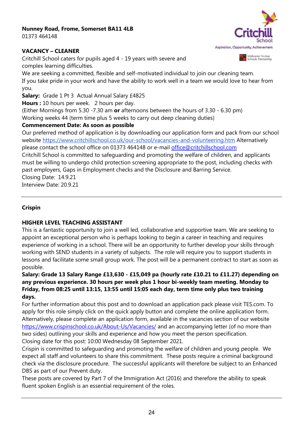# Nunney Road, Frome, Somerset BA11 4LB

01373 464148

#### VACANCY – CLEANER

Aspiration, Opportunity, Achievement

**A N** Midsomer Norton<br>**B** P Schools Partnership

Critchill School caters for pupils aged 4 - 19 years with severe and complex learning difficulties.

We are seeking a committed, flexible and self-motivated individual to join our cleaning team. If you take pride in your work and have the ability to work well in a team we would love to hear from you.

Salary: Grade 1 Pt 3 Actual Annual Salary £4825

Hours : 10 hours per week. 2 hours per day.

(Either Mornings from 5.30 -7.30 am or afternoons between the hours of  $3.30 - 6.30$  pm) Working weeks 44 (term time plus 5 weeks to carry out deep cleaning duties)

# Commencement Date: As soon as possible

Our preferred method of application is by downloading our application form and pack from our school website https://www.critchillschool.co.uk/our-school/vacancies-and-volunteering.htm Alternatively please contact the school office on 01373 464148 or e-mail office@critchillschool.com

Critchill School is committed to safeguarding and promoting the welfare of children, and applicants must be willing to undergo child protection screening appropriate to the post, including checks with past employers, Gaps in Employment checks and the Disclosure and Barring Service. Closing Date: 14.9.21

Interview Date: 20.9.21

# Crispin

# HIGHER LEVEL TEACHING ASSISTANT

This is a fantastic opportunity to join a well led, collaborative and supportive team. We are seeking to appoint an exceptional person who is perhaps looking to begin a career in teaching and requires experience of working in a school. There will be an opportunity to further develop your skills through working with SEND students in a variety of subjects. The role will require you to support students in lessons and facilitate some small group work. The post will be a permanent contract to start as soon as possible.

# Salary: Grade 13 Salary Range £13,630 - £15,049 pa (hourly rate £10.21 to £11.27) depending on any previous experience. 30 hours per week plus 1 hour bi-weekly team meeting. Monday to Friday, from 08:25 until 13:15, 13:55 until 15:05 each day, term time only plus two training days.

For further information about this post and to download an application pack please visit TES.com. To apply for this role simply click on the quick apply button and complete the online application form. Alternatively, please complete an application form, available in the vacancies section of our website https://www.crispinschool.co.uk/About-Us/Vacancies/ and an accompanying letter (of no more than two sides) outlining your skills and experience and how you meet the person specification. Closing date for this post: 10:00 Wednesday 08 September 2021.

Crispin is committed to safeguarding and promoting the welfare of children and young people. We expect all staff and volunteers to share this commitment. These posts require a criminal background check via the disclosure procedure. The successful applicants will therefore be subject to an Enhanced DBS as part of our Prevent duty.

These posts are covered by Part 7 of the Immigration Act (2016) and therefore the ability to speak fluent spoken English is an essential requirement of the roles.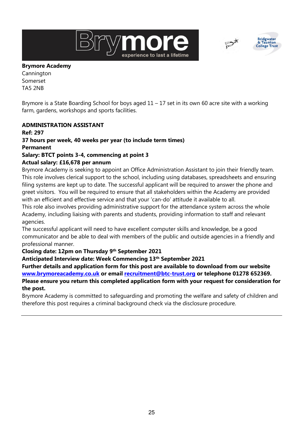



#### Brymore Academy

Cannington Somerset TA5 2NB

Brymore is a State Boarding School for boys aged  $11 - 17$  set in its own 60 acre site with a working farm, gardens, workshops and sports facilities.

#### ADMINISTRATION ASSISTANT

# Ref: 297 37 hours per week, 40 weeks per year (to include term times) Permanent

#### Salary: BTCT points 3-4, commencing at point 3 Actual salary: £16,678 per annum

Brymore Academy is seeking to appoint an Office Administration Assistant to join their friendly team. This role involves clerical support to the school, including using databases, spreadsheets and ensuring filing systems are kept up to date. The successful applicant will be required to answer the phone and greet visitors. You will be required to ensure that all stakeholders within the Academy are provided with an efficient and effective service and that your 'can-do' attitude it available to all.

This role also involves providing administrative support for the attendance system across the whole Academy, including liaising with parents and students, providing information to staff and relevant agencies.

The successful applicant will need to have excellent computer skills and knowledge, be a good communicator and be able to deal with members of the public and outside agencies in a friendly and professional manner.

# Closing date: 12pm on Thursday 9th September 2021

Anticipated Interview date: Week Commencing 13th September 2021

Further details and application form for this post are available to download from our website www.brymoreacademy.co.uk or email recruitment@btc-trust.org or telephone 01278 652369. Please ensure you return this completed application form with your request for consideration for the post.

Brymore Academy is committed to safeguarding and promoting the welfare and safety of children and therefore this post requires a criminal background check via the disclosure procedure.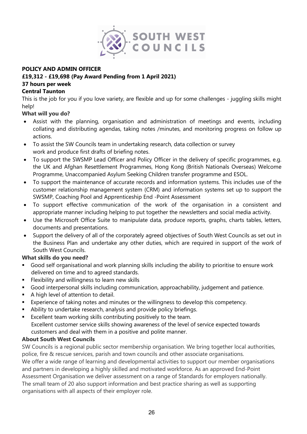

#### POLICY AND ADMIN OFFICER

#### £19,312 - £19,698 (Pay Award Pending from 1 April 2021)

#### 37 hours per week

#### Central Taunton

This is the job for you if you love variety, are flexible and up for some challenges - juggling skills might help!

#### What will you do?

- Assist with the planning, organisation and administration of meetings and events, including collating and distributing agendas, taking notes /minutes, and monitoring progress on follow up actions.
- To assist the SW Councils team in undertaking research, data collection or survey work and produce first drafts of briefing notes.
- To support the SWSMP Lead Officer and Policy Officer in the delivery of specific programmes, e.g. the UK and Afghan Resettlement Programmes, Hong Kong (British Nationals Overseas) Welcome Programme, Unaccompanied Asylum Seeking Children transfer programme and ESOL.
- To support the maintenance of accurate records and information systems. This includes use of the customer relationship management system (CRM) and information systems set up to support the SWSMP, Coaching Pool and Apprenticeship End -Point Assessment
- To support effective communication of the work of the organisation in a consistent and appropriate manner including helping to put together the newsletters and social media activity.
- Use the Microsoft Office Suite to manipulate data, produce reports, graphs, charts tables, letters, documents and presentations.
- Support the delivery of all of the corporately agreed objectives of South West Councils as set out in the Business Plan and undertake any other duties, which are required in support of the work of South West Councils.

#### What skills do you need?

- Good self organisational and work planning skills including the ability to prioritise to ensure work delivered on time and to agreed standards.
- **Flexibility and willingness to learn new skills**
- Good interpersonal skills including communication, approachability, judgement and patience.
- A high level of attention to detail.
- Experience of taking notes and minutes or the willingness to develop this competency.
- Ability to undertake research, analysis and provide policy briefings.
- Excellent team working skills contributing positively to the team. Excellent customer service skills showing awareness of the level of service expected towards customers and deal with them in a positive and polite manner.

#### About South West Councils

SW Councils is a regional public sector membership organisation. We bring together local authorities, police, fire & rescue services, parish and town councils and other associate organisations. We offer a wide range of learning and developmental activities to support our member organisations and partners in developing a highly skilled and motivated workforce. As an approved End-Point Assessment Organisation we deliver assessment on a range of Standards for employers nationally. The small team of 20 also support information and best practice sharing as well as supporting organisations with all aspects of their employer role.